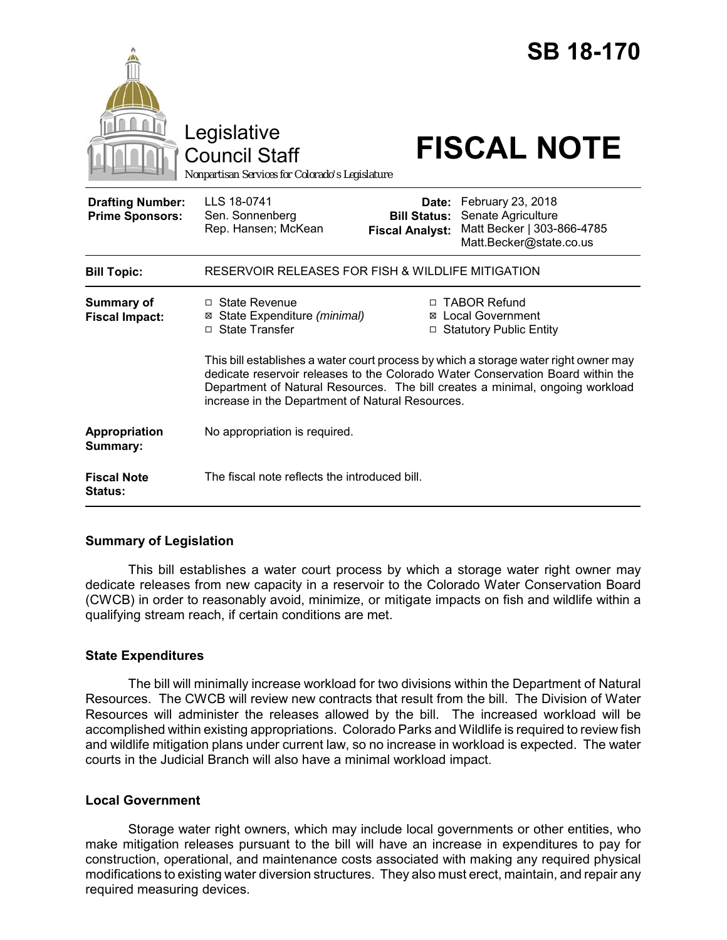|                                                   | Legislative<br><b>Council Staff</b><br>Nonpartisan Services for Colorado's Legislature                                                                                                                                                                                                                       |                                                        | <b>FISCAL NOTE</b>                                                                               | <b>SB 18-170</b> |
|---------------------------------------------------|--------------------------------------------------------------------------------------------------------------------------------------------------------------------------------------------------------------------------------------------------------------------------------------------------------------|--------------------------------------------------------|--------------------------------------------------------------------------------------------------|------------------|
| <b>Drafting Number:</b><br><b>Prime Sponsors:</b> | LLS 18-0741<br>Sen. Sonnenberg<br>Rep. Hansen; McKean                                                                                                                                                                                                                                                        | Date:<br><b>Bill Status:</b><br><b>Fiscal Analyst:</b> | February 23, 2018<br>Senate Agriculture<br>Matt Becker   303-866-4785<br>Matt.Becker@state.co.us |                  |
| <b>Bill Topic:</b>                                | RESERVOIR RELEASES FOR FISH & WILDLIFE MITIGATION                                                                                                                                                                                                                                                            |                                                        |                                                                                                  |                  |
| <b>Summary of</b><br><b>Fiscal Impact:</b>        | $\Box$ State Revenue<br>⊠ State Expenditure (minimal)<br>□ State Transfer                                                                                                                                                                                                                                    |                                                        | □ TABOR Refund<br><b>⊠</b> Local Government<br>□ Statutory Public Entity                         |                  |
|                                                   | This bill establishes a water court process by which a storage water right owner may<br>dedicate reservoir releases to the Colorado Water Conservation Board within the<br>Department of Natural Resources. The bill creates a minimal, ongoing workload<br>increase in the Department of Natural Resources. |                                                        |                                                                                                  |                  |
| Appropriation<br>Summary:                         | No appropriation is required.                                                                                                                                                                                                                                                                                |                                                        |                                                                                                  |                  |
| <b>Fiscal Note</b><br>Status:                     | The fiscal note reflects the introduced bill.                                                                                                                                                                                                                                                                |                                                        |                                                                                                  |                  |

### **Summary of Legislation**

This bill establishes a water court process by which a storage water right owner may dedicate releases from new capacity in a reservoir to the Colorado Water Conservation Board (CWCB) in order to reasonably avoid, minimize, or mitigate impacts on fish and wildlife within a qualifying stream reach, if certain conditions are met.

### **State Expenditures**

The bill will minimally increase workload for two divisions within the Department of Natural Resources. The CWCB will review new contracts that result from the bill. The Division of Water Resources will administer the releases allowed by the bill. The increased workload will be accomplished within existing appropriations. Colorado Parks and Wildlife is required to review fish and wildlife mitigation plans under current law, so no increase in workload is expected. The water courts in the Judicial Branch will also have a minimal workload impact.

### **Local Government**

Storage water right owners, which may include local governments or other entities, who make mitigation releases pursuant to the bill will have an increase in expenditures to pay for construction, operational, and maintenance costs associated with making any required physical modifications to existing water diversion structures. They also must erect, maintain, and repair any required measuring devices.